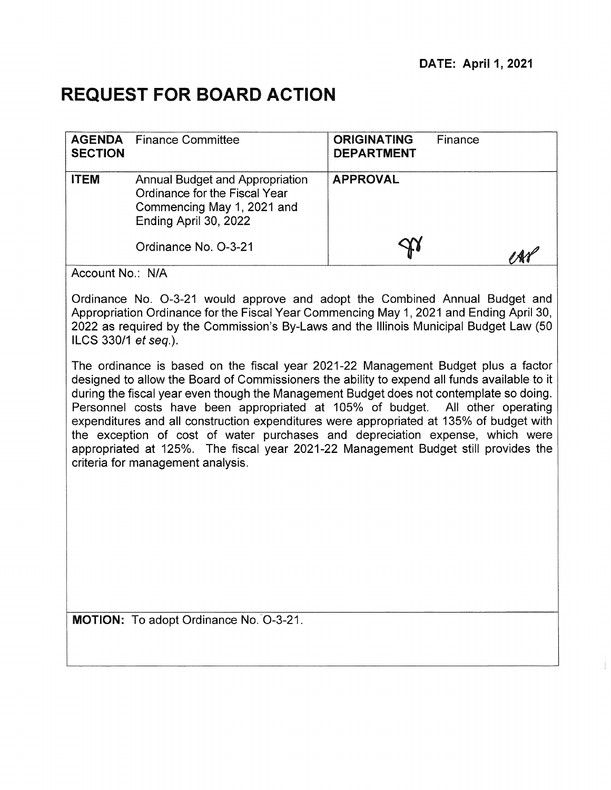# **REQUEST FOR BOARD ACTION**

| <b>SECTION</b> | <b>AGENDA</b> Finance Committee                                                                                         | <b>ORIGINATING</b><br><b>DEPARTMENT</b> | Finance |
|----------------|-------------------------------------------------------------------------------------------------------------------------|-----------------------------------------|---------|
| <b>ITEM</b>    | Annual Budget and Appropriation<br>Ordinance for the Fiscal Year<br>Commencing May 1, 2021 and<br>Ending April 30, 2022 | <b>APPROVAL</b>                         |         |
|                | Ordinance No. O-3-21                                                                                                    |                                         | AY      |

Account No.: N/A

Ordinance No. 0-3-21 would approve and adopt the Combined Annual Budget and Appropriation Ordinance for the Fiscal Year Commencing May 1, 2021 and Ending April 30, 2022 as required by the Commission's By-Laws and the Illinois Municipal Budget Law (50 ILCS 330/1  $etseq.$ ).

The ordinance is based on the fiscal year 2021-22 Management Budget plus a factor designed to allow the Board of Commissioners the ability to expend all funds available to it during the fiscal year even though the Management Budget does not contemplate so doing. Personnel costs have been appropriated at 105% of budget. All other operating expenditures and all construction expenditures were appropriated at 135% of budget with the exception of cost of water purchases and depreciation expense, which were appropriated at 125%. The fiscal year 2021-22 Management Budget still provides the criteria for management analysis.

MOTION: To adopt Ordinance No. 0-3-21.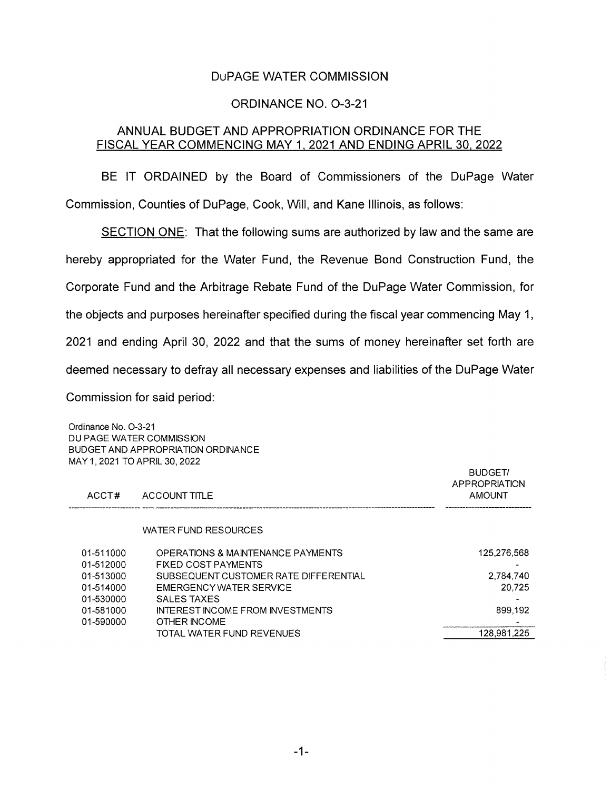## DuPAGE WATER COMMISSION

### ORDINANCE NO. 0-3-21

### ANNUAL BUDGET AND APPROPRIATION ORDINANCE FOR THE FISCAL YEAR COMMENCING MAY 1, 2021 AND ENDING APRIL 30, 2022

BE IT ORDAINED by the Board of Commissioners of the DuPage Water Commission, Counties of DuPage, Cook, Will, and Kane Illinois, as follows:

SECTION ONE: That the following sums are authorized by law and the same are hereby appropriated for the Water Fund, the Revenue Bond Construction Fund, the Corporate Fund and the Arbitrage Rebate Fund of the DuPage Water Commission, for the objects and purposes hereinafter specified during the fiscal year commencing May 1, 2021 and ending April 30, 2022 and that the sums of money hereinafter set forth are deemed necessary to defray all necessary expenses and liabilities of the DuPage Water Commission for said period:

Ordinance No. 0-3-21 DU PAGE WATER COMMISSION BUDGET AND APPROPRIATION ORDINANCE MAY 1 2021 TO APRIL 30, 2022 BUDGET/ APPROPRIATION ACCT# ACCOUNT TITLE AMOUNT AMOUNT WATER FUND RESOURCES 01-511000 OPERATIONS & MAINTENANCE PAYMENTS 125,276,568 01-511000 01-512000 FIXED COST PAYMENTS - 01-513000 SUBSEQUENT CUSTOMER RATE DIFFERENTIAL 01-514000 EMERGENCY WATER SERVICE **Example 2008** 20,725 01-530000 SALES TAXES - 01-581000 INTEREST INCOME FROM INVESTMENTS 01-590000 OTHER INCOME TOTAL WATER FUND REVENUES 128,981,225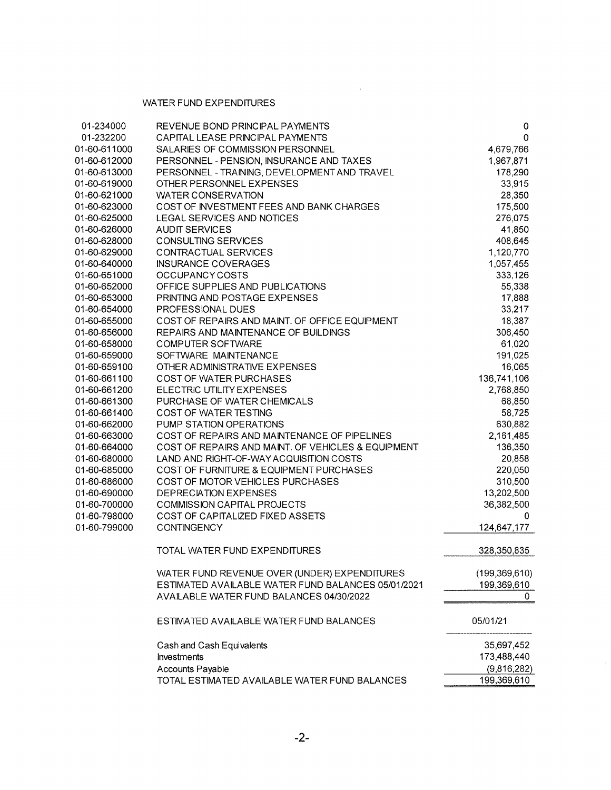#### WATER FUND EXPENDITURES

| 01-234000                    | REVENUE BOND PRINCIPAL PAYMENTS                                          | 0                    |
|------------------------------|--------------------------------------------------------------------------|----------------------|
| 01-232200                    | CAPITAL LEASE PRINCIPAL PAYMENTS                                         | 0                    |
| 01-60-611000                 | SALARIES OF COMMISSION PERSONNEL                                         | 4,679,766            |
| 01-60-612000<br>01-60-613000 | PERSONNEL - PENSION, INSURANCE AND TAXES                                 | 1,967,871<br>178,290 |
| 01-60-619000                 | PERSONNEL - TRAINING, DEVELOPMENT AND TRAVEL<br>OTHER PERSONNEL EXPENSES | 33,915               |
| 01-60-621000                 | <b>WATER CONSERVATION</b>                                                | 28,350               |
| 01-60-623000                 | COST OF INVESTMENT FEES AND BANK CHARGES                                 | 175,500              |
| 01-60-625000                 | LEGAL SERVICES AND NOTICES                                               | 276,075              |
| 01-60-626000                 | <b>AUDIT SERVICES</b>                                                    | 41,850               |
| 01-60-628000                 | <b>CONSULTING SERVICES</b>                                               | 408,645              |
| 01-60-629000                 | CONTRACTUAL SERVICES                                                     | 1,120,770            |
| 01-60-640000                 | <b>INSURANCE COVERAGES</b>                                               | 1,057,455            |
| 01-60-651000                 | OCCUPANCY COSTS                                                          | 333,126              |
| 01-60-652000                 | OFFICE SUPPLIES AND PUBLICATIONS                                         | 55,338               |
| 01-60-653000                 | PRINTING AND POSTAGE EXPENSES                                            | 17,888               |
| 01-60-654000                 | PROFESSIONAL DUES                                                        | 33,217               |
| 01-60-655000                 | COST OF REPAIRS AND MAINT. OF OFFICE EQUIPMENT                           | 18,387               |
| 01-60-656000                 | REPAIRS AND MAINTENANCE OF BUILDINGS                                     | 306,450              |
| 01-60-658000                 | <b>COMPUTER SOFTWARE</b>                                                 | 61,020               |
| 01-60-659000                 | SOFTWARE MAINTENANCE                                                     | 191,025              |
| 01-60-659100                 | OTHER ADMINISTRATIVE EXPENSES                                            | 16,065               |
| 01-60-661100                 | <b>COST OF WATER PURCHASES</b>                                           | 136,741,106          |
| 01-60-661200                 | ELECTRIC UTILITY EXPENSES                                                | 2,768,850            |
| 01-60-661300                 | PURCHASE OF WATER CHEMICALS                                              | 68,850               |
| 01-60-661400                 | COST OF WATER TESTING                                                    | 58,725               |
| 01-60-662000                 | PUMP STATION OPERATIONS                                                  | 630,882              |
| 01-60-663000                 | COST OF REPAIRS AND MAINTENANCE OF PIPELINES                             | 2,161,485            |
| 01-60-664000                 | COST OF REPAIRS AND MAINT. OF VEHICLES & EQUIPMENT                       | 136,350              |
| 01-60-680000                 | LAND AND RIGHT-OF-WAY ACQUISITION COSTS                                  | 20,858               |
| 01-60-685000                 | COST OF FURNITURE & EQUIPMENT PURCHASES                                  | 220,050              |
| 01-60-686000                 | COST OF MOTOR VEHICLES PURCHASES                                         | 310,500              |
| 01-60-690000                 | <b>DEPRECIATION EXPENSES</b>                                             | 13,202,500           |
| 01-60-700000                 | <b>COMMISSION CAPITAL PROJECTS</b>                                       | 36,382,500           |
| 01-60-798000                 | COST OF CAPITALIZED FIXED ASSETS                                         | 0                    |
| 01-60-799000                 | <b>CONTINGENCY</b>                                                       | 124,647,177          |
|                              | TOTAL WATER FUND EXPENDITURES                                            | 328,350,835          |
|                              | WATER FUND REVENUE OVER (UNDER) EXPENDITURES                             | (199, 369, 610)      |
|                              | ESTIMATED AVAILABLE WATER FUND BALANCES 05/01/2021                       | 199,369,610          |
|                              | AVAILABLE WATER FUND BALANCES 04/30/2022                                 | 0                    |
|                              | ESTIMATED AVAILABLE WATER FUND BALANCES                                  | 05/01/21             |
|                              | Cash and Cash Equivalents                                                | 35,697,452           |
|                              | Investments                                                              | 173,488,440          |
|                              | Accounts Payable                                                         | (9,816,282)          |
|                              | TOTAL ESTIMATED AVAILABLE WATER FUND BALANCES                            | 199,369,610          |

 $\bar{z}$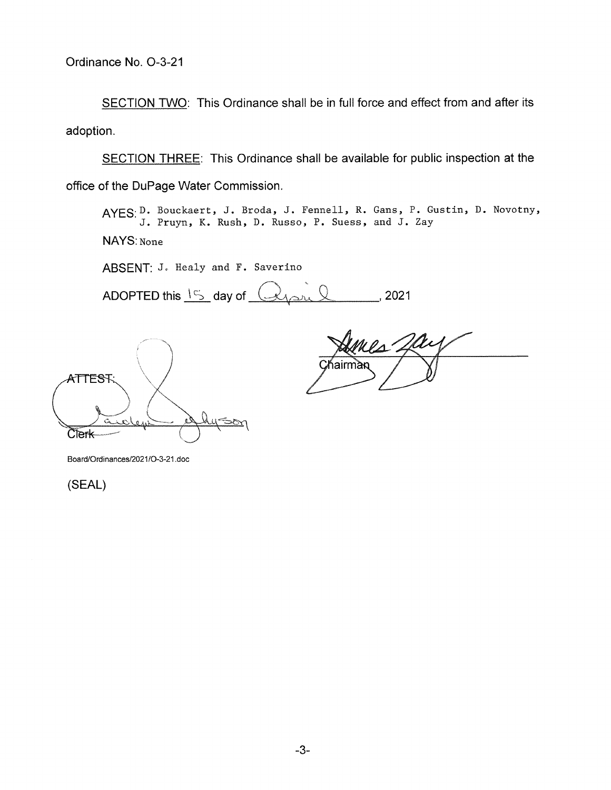SECTION TWO: This Ordinance shall be in full force and effect from and after its adoption.

SECTION THREE: This Ordinance shall be available for public inspection at the office of the DuPage Water Commission.

AYES:D. Bouckaert, J. Broda, J. Fennell, R. Gans, P. Gustin, D. Novotny, J. Pruyn, K. Rush, D. Russo, P. Suess, and J. Zay

NAYS: None

ABSENT: J. Healy and F. Saverino

ADOPTED this  $15$  day of  $(4)$ 

ATTESF Clerk

airm

Board/Ordinances/2021/O-3-21.doc

(SEAL)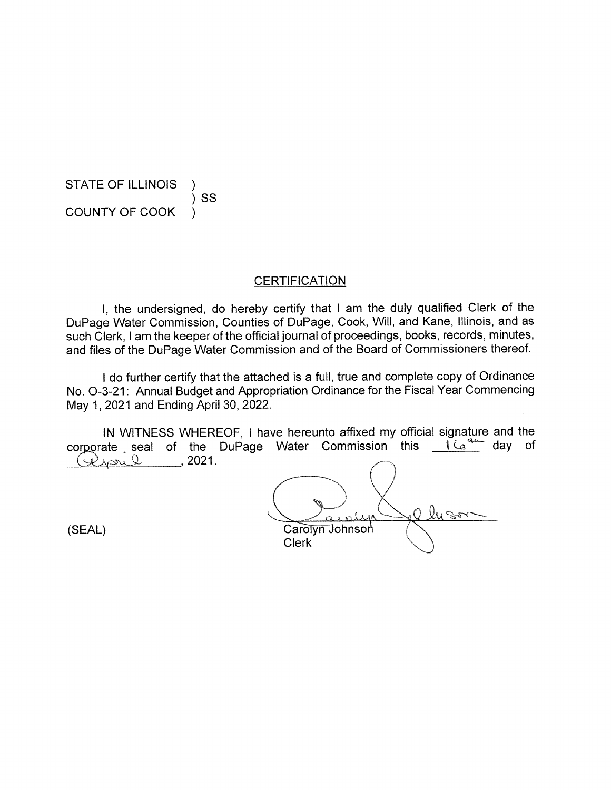STATE OF ILLINOIS  $)$  SS COUNTY OF COOK )

**CERTIFICATION** 

I, the undersigned, do hereby certify that I am the duly qualified Clerk of the DuPage Water Commission, Counties of DuPage, Cook, Will, and Kane, Illinois, and as such Clerk, I am the keeper of the official journal of proceedings, books, records, minutes, and files of the DuPage Water Commission and of the Board of Commissioners thereof.

I do further certify that the attached is a full, true and complete copy of Ordinance No. 0-3-21: Annual Budget and Appropriation Ordinance for the Fiscal Year Commencing May 1, 2021 and Ending April 30, 2022.

IN WITNESS WHEREOF, I have hereunto affixed my official signature and the corporate seal of the DuPage Water Commission this  $\frac{e^{4kx}}{2}$  day of  $Q^2$ 

lysor Carolyn Johnson **Clerk** 

(SEAL)